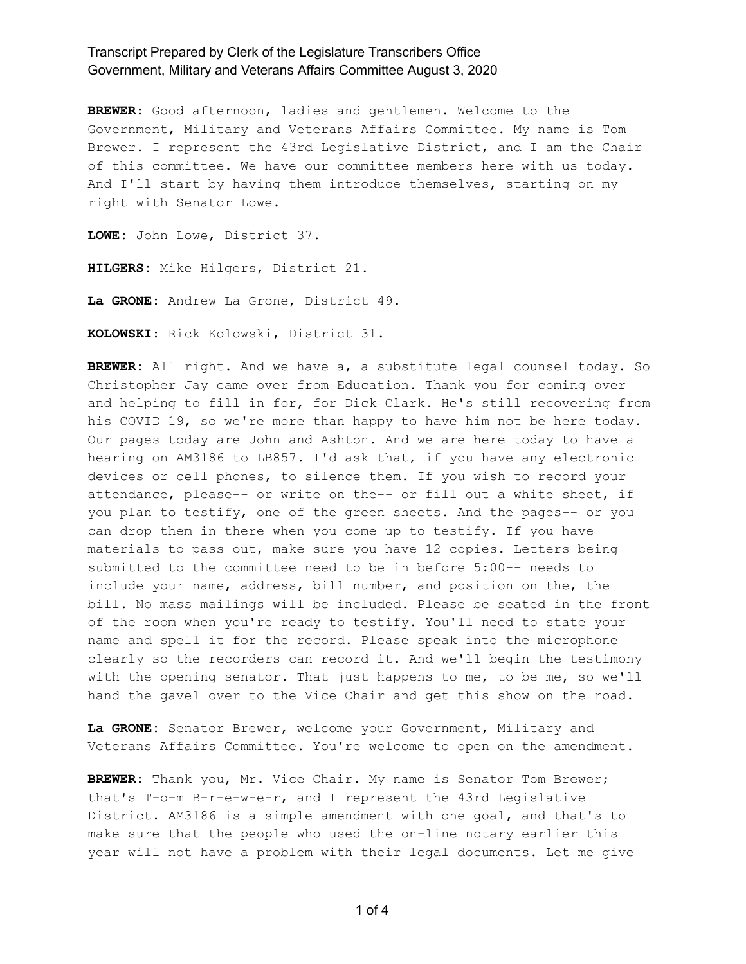**BREWER:** Good afternoon, ladies and gentlemen. Welcome to the Government, Military and Veterans Affairs Committee. My name is Tom Brewer. I represent the 43rd Legislative District, and I am the Chair of this committee. We have our committee members here with us today. And I'll start by having them introduce themselves, starting on my right with Senator Lowe.

**LOWE:** John Lowe, District 37.

**HILGERS:** Mike Hilgers, District 21.

**La GRONE:** Andrew La Grone, District 49.

**KOLOWSKI:** Rick Kolowski, District 31.

**BREWER:** All right. And we have a, a substitute legal counsel today. So Christopher Jay came over from Education. Thank you for coming over and helping to fill in for, for Dick Clark. He's still recovering from his COVID 19, so we're more than happy to have him not be here today. Our pages today are John and Ashton. And we are here today to have a hearing on AM3186 to LB857. I'd ask that, if you have any electronic devices or cell phones, to silence them. If you wish to record your attendance, please-- or write on the-- or fill out a white sheet, if you plan to testify, one of the green sheets. And the pages-- or you can drop them in there when you come up to testify. If you have materials to pass out, make sure you have 12 copies. Letters being submitted to the committee need to be in before 5:00-- needs to include your name, address, bill number, and position on the, the bill. No mass mailings will be included. Please be seated in the front of the room when you're ready to testify. You'll need to state your name and spell it for the record. Please speak into the microphone clearly so the recorders can record it. And we'll begin the testimony with the opening senator. That just happens to me, to be me, so we'll hand the gavel over to the Vice Chair and get this show on the road.

**La GRONE:** Senator Brewer, welcome your Government, Military and Veterans Affairs Committee. You're welcome to open on the amendment.

**BREWER:** Thank you, Mr. Vice Chair. My name is Senator Tom Brewer; that's T-o-m B-r-e-w-e-r, and I represent the 43rd Legislative District. AM3186 is a simple amendment with one goal, and that's to make sure that the people who used the on-line notary earlier this year will not have a problem with their legal documents. Let me give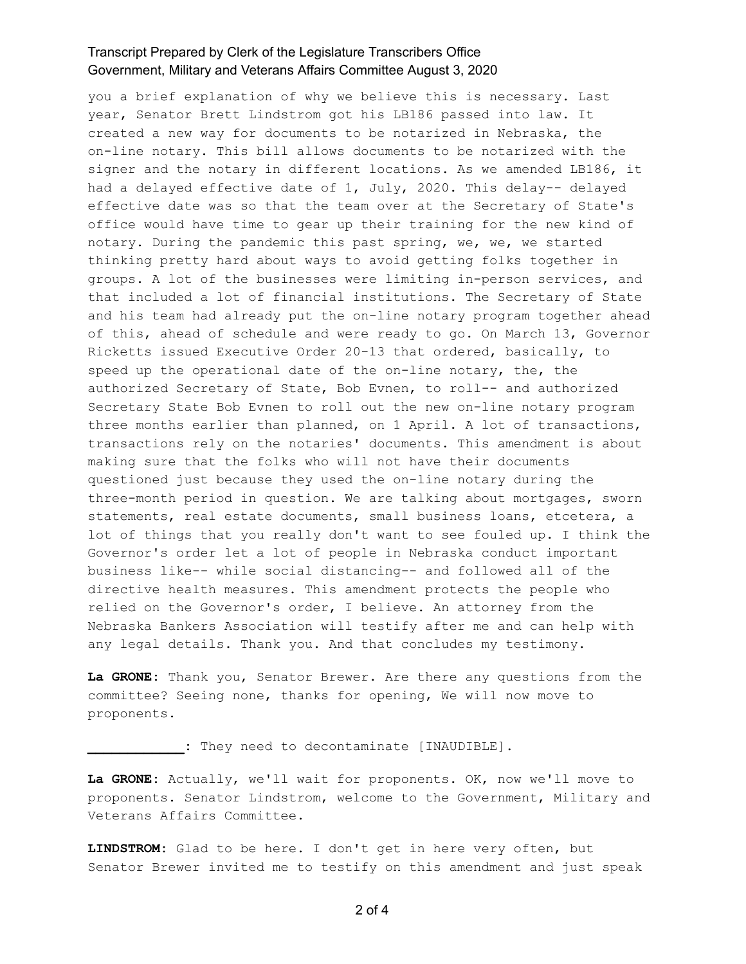you a brief explanation of why we believe this is necessary. Last year, Senator Brett Lindstrom got his LB186 passed into law. It created a new way for documents to be notarized in Nebraska, the on-line notary. This bill allows documents to be notarized with the signer and the notary in different locations. As we amended LB186, it had a delayed effective date of 1, July, 2020. This delay-- delayed effective date was so that the team over at the Secretary of State's office would have time to gear up their training for the new kind of notary. During the pandemic this past spring, we, we, we started thinking pretty hard about ways to avoid getting folks together in groups. A lot of the businesses were limiting in-person services, and that included a lot of financial institutions. The Secretary of State and his team had already put the on-line notary program together ahead of this, ahead of schedule and were ready to go. On March 13, Governor Ricketts issued Executive Order 20-13 that ordered, basically, to speed up the operational date of the on-line notary, the, the authorized Secretary of State, Bob Evnen, to roll-- and authorized Secretary State Bob Evnen to roll out the new on-line notary program three months earlier than planned, on 1 April. A lot of transactions, transactions rely on the notaries' documents. This amendment is about making sure that the folks who will not have their documents questioned just because they used the on-line notary during the three-month period in question. We are talking about mortgages, sworn statements, real estate documents, small business loans, etcetera, a lot of things that you really don't want to see fouled up. I think the Governor's order let a lot of people in Nebraska conduct important business like-- while social distancing-- and followed all of the directive health measures. This amendment protects the people who relied on the Governor's order, I believe. An attorney from the Nebraska Bankers Association will testify after me and can help with any legal details. Thank you. And that concludes my testimony.

**La GRONE:** Thank you, Senator Brewer. Are there any questions from the committee? Seeing none, thanks for opening, We will now move to proponents.

**\_\_\_\_\_\_\_\_\_\_\_\_:** They need to decontaminate [INAUDIBLE].

**La GRONE:** Actually, we'll wait for proponents. OK, now we'll move to proponents. Senator Lindstrom, welcome to the Government, Military and Veterans Affairs Committee.

**LINDSTROM:** Glad to be here. I don't get in here very often, but Senator Brewer invited me to testify on this amendment and just speak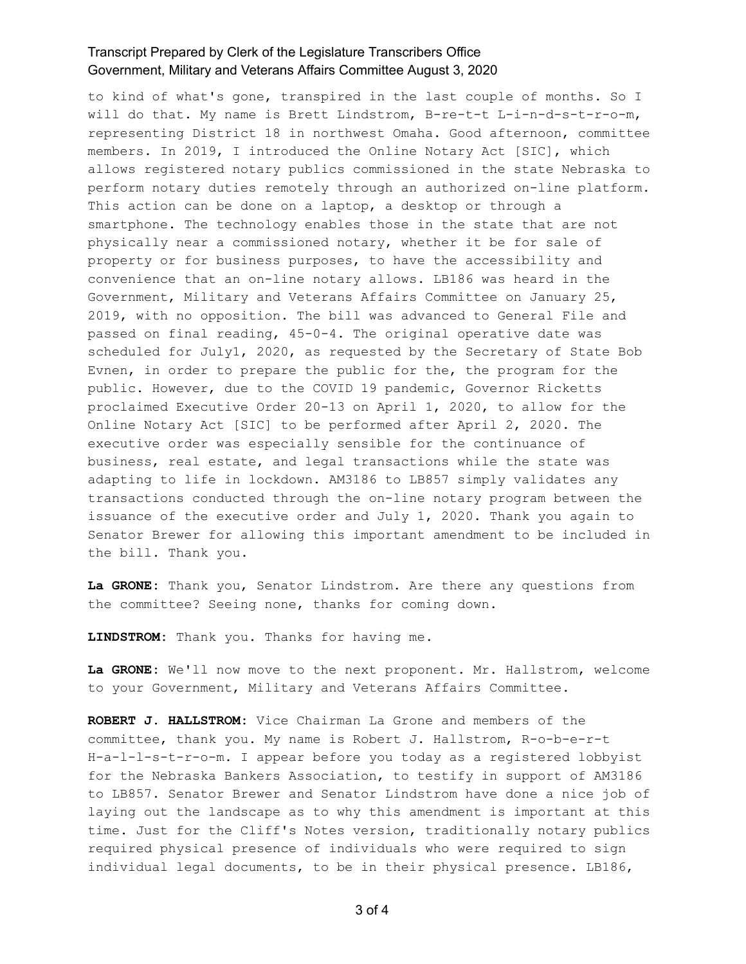to kind of what's gone, transpired in the last couple of months. So I will do that. My name is Brett Lindstrom, B-re-t-t L-i-n-d-s-t-r-o-m, representing District 18 in northwest Omaha. Good afternoon, committee members. In 2019, I introduced the Online Notary Act [SIC], which allows registered notary publics commissioned in the state Nebraska to perform notary duties remotely through an authorized on-line platform. This action can be done on a laptop, a desktop or through a smartphone. The technology enables those in the state that are not physically near a commissioned notary, whether it be for sale of property or for business purposes, to have the accessibility and convenience that an on-line notary allows. LB186 was heard in the Government, Military and Veterans Affairs Committee on January 25, 2019, with no opposition. The bill was advanced to General File and passed on final reading, 45-0-4. The original operative date was scheduled for July1, 2020, as requested by the Secretary of State Bob Evnen, in order to prepare the public for the, the program for the public. However, due to the COVID 19 pandemic, Governor Ricketts proclaimed Executive Order 20-13 on April 1, 2020, to allow for the Online Notary Act [SIC] to be performed after April 2, 2020. The executive order was especially sensible for the continuance of business, real estate, and legal transactions while the state was adapting to life in lockdown. AM3186 to LB857 simply validates any transactions conducted through the on-line notary program between the issuance of the executive order and July 1, 2020. Thank you again to Senator Brewer for allowing this important amendment to be included in the bill. Thank you.

**La GRONE:** Thank you, Senator Lindstrom. Are there any questions from the committee? Seeing none, thanks for coming down.

**LINDSTROM:** Thank you. Thanks for having me.

**La GRONE:** We'll now move to the next proponent. Mr. Hallstrom, welcome to your Government, Military and Veterans Affairs Committee.

**ROBERT J. HALLSTROM:** Vice Chairman La Grone and members of the committee, thank you. My name is Robert J. Hallstrom, R-o-b-e-r-t H-a-l-l-s-t-r-o-m. I appear before you today as a registered lobbyist for the Nebraska Bankers Association, to testify in support of AM3186 to LB857. Senator Brewer and Senator Lindstrom have done a nice job of laying out the landscape as to why this amendment is important at this time. Just for the Cliff's Notes version, traditionally notary publics required physical presence of individuals who were required to sign individual legal documents, to be in their physical presence. LB186,

3 of 4